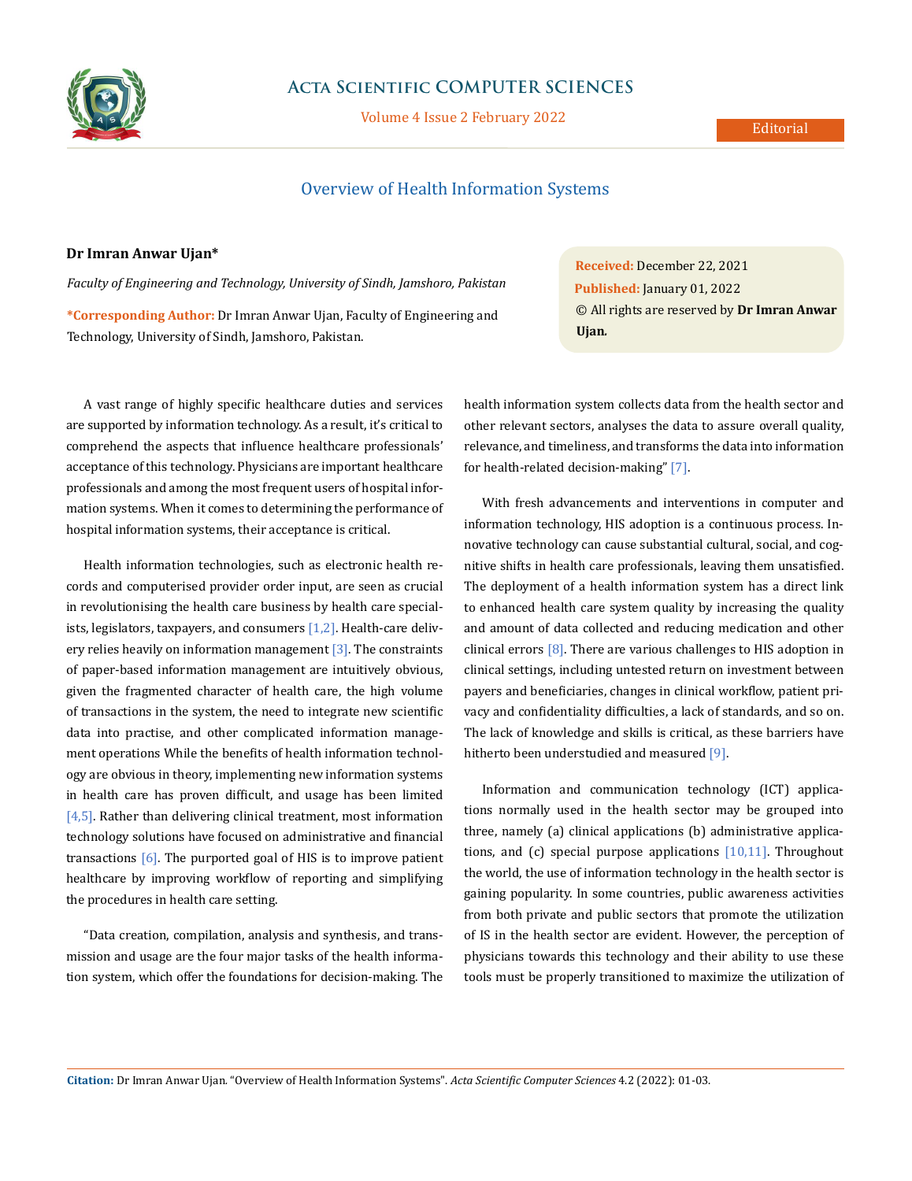

# **Acta Scientific COMPUTER SCIENCES**

Volume 4 Issue 2 February 2022

### Editorial

# Overview of Health Information Systems

## **Dr Imran Anwar Ujan\***

*Faculty of Engineering and Technology, University of Sindh, Jamshoro, Pakistan*

**\*Corresponding Author:** Dr Imran Anwar Ujan, Faculty of Engineering and Technology, University of Sindh, Jamshoro, Pakistan.

A vast range of highly specific healthcare duties and services are supported by information technology. As a result, it's critical to comprehend the aspects that influence healthcare professionals' acceptance of this technology. Physicians are important healthcare professionals and among the most frequent users of hospital information systems. When it comes to determining the performance of hospital information systems, their acceptance is critical.

Health information technologies, such as electronic health records and computerised provider order input, are seen as crucial in revolutionising the health care business by health care specialists, legislators, taxpayers, and consumers [1,2]. Health-care delivery relies heavily on information management [3]. The constraints of paper-based information management are intuitively obvious, given the fragmented character of health care, the high volume of transactions in the system, the need to integrate new scientific data into practise, and other complicated information management operations While the benefits of health information technology are obvious in theory, implementing new information systems in health care has proven difficult, and usage has been limited [4,5]. Rather than delivering clinical treatment, most information technology solutions have focused on administrative and financial transactions  $[6]$ . The purported goal of HIS is to improve patient healthcare by improving workflow of reporting and simplifying the procedures in health care setting.

"Data creation, compilation, analysis and synthesis, and transmission and usage are the four major tasks of the health information system, which offer the foundations for decision-making. The **Received:** December 22, 2021 **Published:** January 01, 2022 © All rights are reserved by **Dr Imran Anwar Ujan***.*

health information system collects data from the health sector and other relevant sectors, analyses the data to assure overall quality, relevance, and timeliness, and transforms the data into information for health-related decision-making" [7].

With fresh advancements and interventions in computer and information technology, HIS adoption is a continuous process. Innovative technology can cause substantial cultural, social, and cognitive shifts in health care professionals, leaving them unsatisfied. The deployment of a health information system has a direct link to enhanced health care system quality by increasing the quality and amount of data collected and reducing medication and other clinical errors  $[8]$ . There are various challenges to HIS adoption in clinical settings, including untested return on investment between payers and beneficiaries, changes in clinical workflow, patient privacy and confidentiality difficulties, a lack of standards, and so on. The lack of knowledge and skills is critical, as these barriers have hitherto been understudied and measured [9].

Information and communication technology (ICT) applications normally used in the health sector may be grouped into three, namely (a) clinical applications (b) administrative applications, and (c) special purpose applications  $[10,11]$ . Throughout the world, the use of information technology in the health sector is gaining popularity. In some countries, public awareness activities from both private and public sectors that promote the utilization of IS in the health sector are evident. However, the perception of physicians towards this technology and their ability to use these tools must be properly transitioned to maximize the utilization of

**Citation:** Dr Imran Anwar Ujan*.* "Overview of Health Information Systems". *Acta Scientific Computer Sciences* 4.2 (2022): 01-03.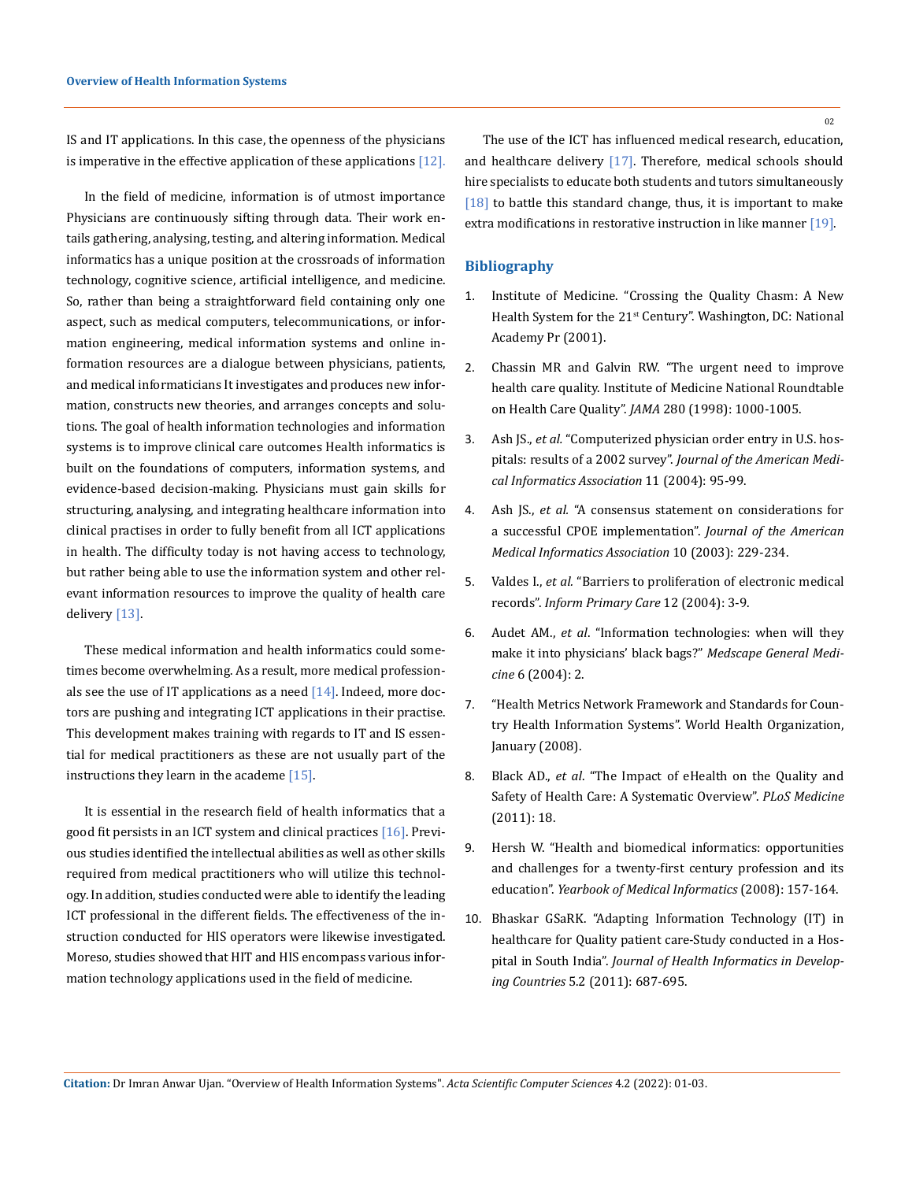IS and IT applications. In this case, the openness of the physicians is imperative in the effective application of these applications [12].

In the field of medicine, information is of utmost importance Physicians are continuously sifting through data. Their work entails gathering, analysing, testing, and altering information. Medical informatics has a unique position at the crossroads of information technology, cognitive science, artificial intelligence, and medicine. So, rather than being a straightforward field containing only one aspect, such as medical computers, telecommunications, or information engineering, medical information systems and online information resources are a dialogue between physicians, patients, and medical informaticians It investigates and produces new information, constructs new theories, and arranges concepts and solutions. The goal of health information technologies and information systems is to improve clinical care outcomes Health informatics is built on the foundations of computers, information systems, and evidence-based decision-making. Physicians must gain skills for structuring, analysing, and integrating healthcare information into clinical practises in order to fully benefit from all ICT applications in health. The difficulty today is not having access to technology, but rather being able to use the information system and other relevant information resources to improve the quality of health care delivery [13].

These medical information and health informatics could sometimes become overwhelming. As a result, more medical professionals see the use of IT applications as a need  $[14]$ . Indeed, more doctors are pushing and integrating ICT applications in their practise. This development makes training with regards to IT and IS essential for medical practitioners as these are not usually part of the instructions they learn in the academe  $[15]$ .

It is essential in the research field of health informatics that a good fit persists in an ICT system and clinical practices [16]. Previous studies identified the intellectual abilities as well as other skills required from medical practitioners who will utilize this technology. In addition, studies conducted were able to identify the leading ICT professional in the different fields. The effectiveness of the instruction conducted for HIS operators were likewise investigated. Moreso, studies showed that HIT and HIS encompass various information technology applications used in the field of medicine.

The use of the ICT has influenced medical research, education, and healthcare delivery [17]. Therefore, medical schools should hire specialists to educate both students and tutors simultaneously [18] to battle this standard change, thus, it is important to make extra modifications in restorative instruction in like manner [19].

### **Bibliography**

- 1. Institute of Medicine. "Crossing the Quality Chasm: A New Health System for the 21<sup>st</sup> Century". Washington, DC: National Academy Pr (2001).
- 2. [Chassin MR and Galvin RW. "The urgent need to improve](https://pubmed.ncbi.nlm.nih.gov/9749483/)  [health care quality. Institute of Medicine National Roundtable](https://pubmed.ncbi.nlm.nih.gov/9749483/)  on Health Care Quality". *JAMA* [280 \(1998\): 1000-1005.](https://pubmed.ncbi.nlm.nih.gov/9749483/)
- 3. Ash JS., *et al.* ["Computerized physician order entry in U.S. hos](https://pubmed.ncbi.nlm.nih.gov/14633935/)pitals: results of a 2002 survey". *[Journal of the American Medi](https://pubmed.ncbi.nlm.nih.gov/14633935/)[cal Informatics Association](https://pubmed.ncbi.nlm.nih.gov/14633935/)* 11 (2004): 95-99.
- 4. Ash JS., *et al.* ["A consensus statement on considerations for](https://pubmed.ncbi.nlm.nih.gov/12626376) [a successful CPOE implementation".](https://pubmed.ncbi.nlm.nih.gov/12626376) *Journal of the American [Medical Informatics Association](https://pubmed.ncbi.nlm.nih.gov/12626376)* 10 (2003): 229-234.
- 5. Valdes I., *et al.* ["Barriers to proliferation of electronic medical](https://pubmed.ncbi.nlm.nih.gov/15140347/) records". *[Inform Primary Care](https://pubmed.ncbi.nlm.nih.gov/15140347/)* 12 (2004): 3-9.
- 6. Audet AM., *et al*[. "Information technologies: when will they](https://pubmed.ncbi.nlm.nih.gov/15775829/) [make it into physicians' black bags?"](https://pubmed.ncbi.nlm.nih.gov/15775829/) *Medscape General Medicine* [6 \(2004\): 2.](https://pubmed.ncbi.nlm.nih.gov/15775829/)
- 7. "Health Metrics Network Framework and Standards for Country Health Information Systems". World Health Organization, January (2008).
- 8. Black AD., *et al*[. "The Impact of eHealth on the Quality and](https://pubmed.ncbi.nlm.nih.gov/21267058/)  [Safety of Health Care: A Systematic Overview".](https://pubmed.ncbi.nlm.nih.gov/21267058/) *PLoS Medicine* [\(2011\): 18.](https://pubmed.ncbi.nlm.nih.gov/21267058/)
- 9. [Hersh W. "Health and biomedical informatics: opportunities](https://citeseerx.ist.psu.edu/viewdoc/download?doi=10.1.1.568.1363&rep=rep1&type=pdf) [and challenges for a twenty-first century profession and its](https://citeseerx.ist.psu.edu/viewdoc/download?doi=10.1.1.568.1363&rep=rep1&type=pdf)  education". *[Yearbook of Medical Informatics](https://citeseerx.ist.psu.edu/viewdoc/download?doi=10.1.1.568.1363&rep=rep1&type=pdf)* (2008): 157-164.
- 10. Bhaskar GSaRK. "Adapting Information Technology (IT) in healthcare for Quality patient care-Study conducted in a Hospital in South India". *Journal of Health Informatics in Developing Countries* 5.2 (2011): 687-695.

**Citation:** Dr Imran Anwar Ujan*.* "Overview of Health Information Systems". *Acta Scientific Computer Sciences* 4.2 (2022): 01-03.

02